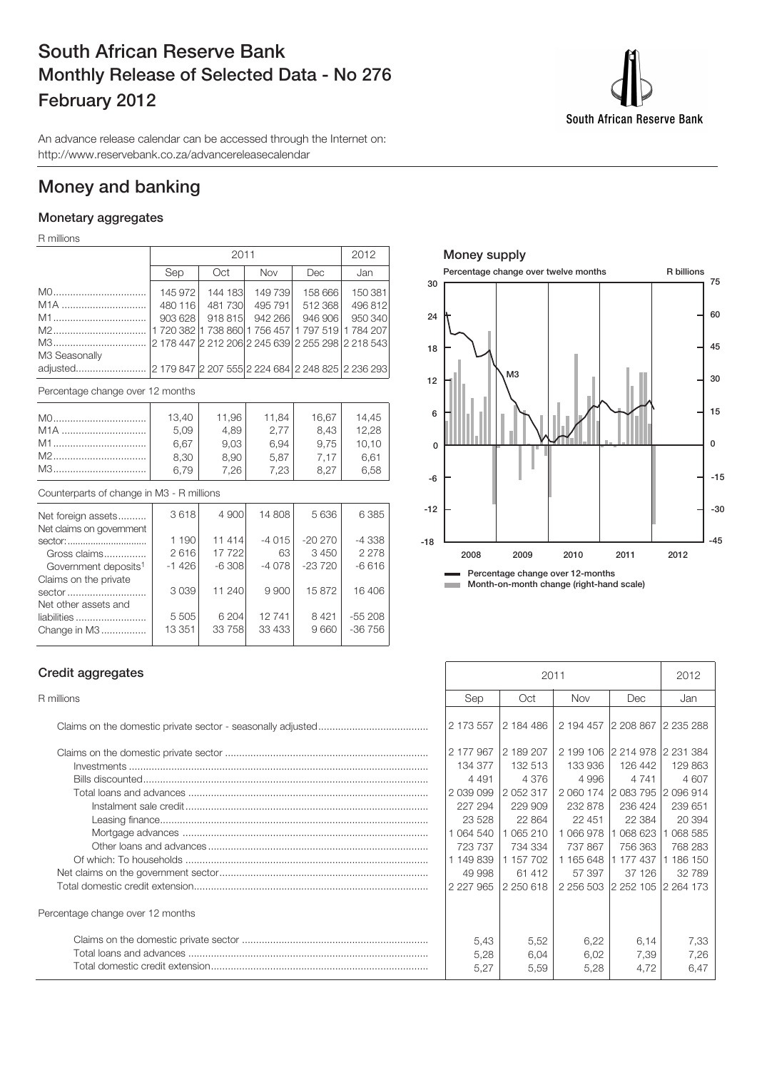## **South African Reserve Bank Monthly Release of Selected Data - No 276 February 2012**

An advance release calendar can be accessed through the Internet on: http://www.reservebank.co.za/advancereleasecalendar

## **Money and banking**

#### **Monetary aggregates**

R millions

|                        |                    | 2011    |                              |                                                   |                    |  |
|------------------------|--------------------|---------|------------------------------|---------------------------------------------------|--------------------|--|
|                        | Sep                | Oct     | <b>Nov</b>                   | Dec                                               | Jan                |  |
| M0                     | 145 972            | 144 183 | 149 739                      | 158 666                                           | 150 381            |  |
| M <sub>1</sub> A<br>M1 | 480 116<br>903 628 | 481730  | 495 791  <br>918 815 942 266 | 512 368<br>946 906                                | 496 812<br>950 340 |  |
|                        |                    |         |                              | 1 720 382 1 738 860 1 756 457 1 797 519 1 784 207 |                    |  |
| M3 Seasonally          |                    |         |                              |                                                   |                    |  |
|                        |                    |         |                              |                                                   |                    |  |

Percentage change over 12 months

|                                                           | 13,40 | 11,96 | 11,84  | 16.67 | 14.45   |
|-----------------------------------------------------------|-------|-------|--------|-------|---------|
| M <sub>1</sub> A                                          | 5.09  | 4.89  | 2.77   | 8.43  | 12,28   |
| M1                                                        | 6.67  | 9,03  | 6,94   | 9.75  | 10,10   |
| M2                                                        | 8.30  | 8.90  | 5.87   | 7.17  | 6,61    |
| M3                                                        | 6.79  | 7.26  | 7.23   | 8.27  | 6,58    |
| Counterparts of change in M3 - R millions                 |       |       |        |       |         |
| Net foreign assets<br>Allen alabased a strategic assessed | 3618  | 4 900 | 14 808 | 5636  | 6 3 8 5 |

| Net claims on government         |         |          |         |          |          |
|----------------------------------|---------|----------|---------|----------|----------|
| sector:                          | 1 190   | 11 414   | $-4015$ | $-20270$ | -4 338   |
| Gross claims                     | 2616    | 17 722   | 63      | 3450     | 2 2 7 8  |
| Government deposits <sup>1</sup> | $-1426$ | $-6.308$ | $-4078$ | $-23720$ | $-6616$  |
| Claims on the private            |         |          |         |          |          |
| sector                           | 3039    | 11 240   | 9900    | 15872    | 16 406   |
| Net other assets and             |         |          |         |          |          |
| liabilities                      | 5 5 0 5 | 6 204    | 12 741  | 8421     | $-55208$ |
| Change in M3                     | 13 351  | 33 758   | 33 433  | 9660     | -36 756  |
|                                  |         |          |         |          |          |



**Month-on-month change (right-hand scale)** m.

#### **Credit aggregates**

| Percentage change over 12 months |
|----------------------------------|
|                                  |

| Credit aggregates                | 2011          |           |                               |         | 2012    |
|----------------------------------|---------------|-----------|-------------------------------|---------|---------|
| R millions                       | Sep           | Oct       | <b>Nov</b>                    | Dec     | Jan     |
|                                  | 2 173 557     | 2 184 486 | 2 194 457 2 208 867 2 235 288 |         |         |
|                                  | 2 177 967     | 2 189 207 | 2 199 106 2 214 978 2 231 384 |         |         |
|                                  | 134 377       | 132 513   | 133 936                       | 126 442 | 129 863 |
|                                  | 4 4 9 1       | 4 3 7 6   | 4996                          | 4 7 4 1 | 4 607   |
|                                  | 2 039 099     | 2 052 317 | 2 060 174 2 083 795 2 096 914 |         |         |
|                                  | 227 294       | 229 909   | 232 878                       | 236 424 | 239 651 |
|                                  | 23 5 28       | 22 864    | 22 451                        | 22 3 84 | 20 394  |
|                                  | 1 064 540     | 065 210   | 066978                        | 068 623 | 068 585 |
|                                  | 723 737       | 734 334   | 737 867                       | 756 363 | 768 283 |
|                                  | 1 149 839     | 1 157 702 | 1 165 648 1 177 437           |         | 186 150 |
|                                  | 49 998        | 61 412    | 57 397                        | 37 126  | 32789   |
|                                  | 2 2 2 7 9 6 5 | 2 250 618 | 2 256 503 2 252 105 2 264 173 |         |         |
| Percentage change over 12 months |               |           |                               |         |         |
|                                  | 5,43          | 5,52      | 6,22                          | 6,14    | 7,33    |
|                                  | 5,28          | 6,04      | 6,02                          | 7,39    | 7,26    |
|                                  | 5,27          | 5,59      | 5,28                          | 4,72    | 6,47    |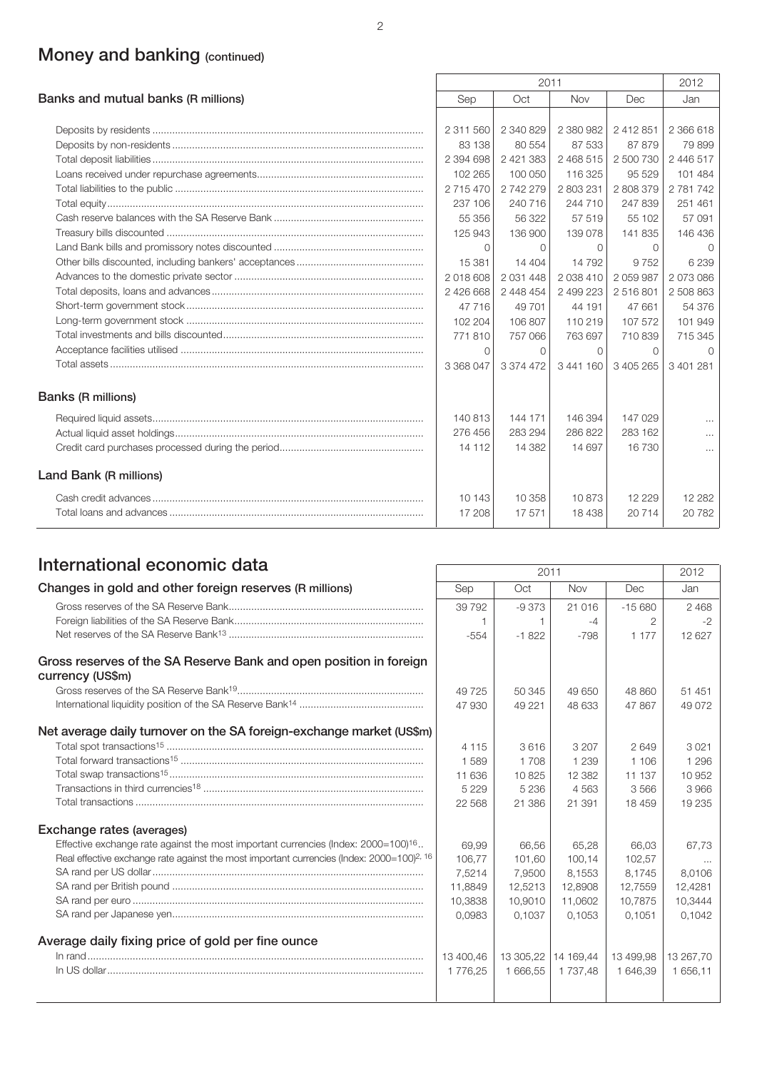# **Money and banking (continued)**

|                                     | 2011      |                   |           |           | 2012      |
|-------------------------------------|-----------|-------------------|-----------|-----------|-----------|
| Banks and mutual banks (R millions) | Sep       | Oct<br>Nov<br>Dec |           |           | Jan       |
|                                     |           |                   |           |           |           |
|                                     | 2 311 560 | 2 340 829         | 2 380 982 | 2 412 851 | 2 366 618 |
|                                     | 83 138    | 80 554            | 87 533    | 87879     | 79899     |
|                                     | 2 394 698 | 2 421 383         | 2 468 515 | 2 500 730 | 2 446 517 |
|                                     | 102 265   | 100 050           | 116 325   | 95 529    | 101 484   |
|                                     | 2 715 470 | 2 742 279         | 2 803 231 | 2808379   | 2 781 742 |
|                                     | 237 106   | 240 716           | 244 710   | 247839    | 251 461   |
|                                     | 55 356    | 56 322            | 57 519    | 55 102    | 57 091    |
|                                     | 125 943   | 136 900           | 139 078   | 141835    | 146 436   |
|                                     | $\Omega$  | $\Omega$          | $\Omega$  | $\Omega$  | $\Omega$  |
|                                     | 15 381    | 14 404            | 14 792    | 9 7 5 2   | 6239      |
|                                     | 2018608   | 2 0 31 4 4 8      | 2 038 410 | 2 059 987 | 2073086   |
|                                     | 2 426 668 | 2 448 454         | 2 499 223 | 2516801   | 2 508 863 |
|                                     | 47 716    | 49 701            | 44 191    | 47 661    | 54 376    |
|                                     | 102 204   | 106 807           | 110 219   | 107 572   | 101 949   |
|                                     | 771810    | 757 066           | 763 697   | 710839    | 715 345   |
|                                     | $\Omega$  | $\Omega$          | $\Omega$  | $\Omega$  | $\Omega$  |
|                                     | 3 368 047 | 3 374 472         | 3441160   | 3 405 265 | 3 401 281 |
| <b>Banks (R millions)</b>           |           |                   |           |           |           |
|                                     | 140 813   | 144 171           | 146 394   | 147 029   | $\cdots$  |
|                                     | 276 456   | 283 294           | 286 822   | 283 162   | $\cdots$  |
|                                     | 14 112    | 14 382            | 14 697    | 16 730    | $\cdots$  |
| Land Bank (R millions)              |           |                   |           |           |           |
|                                     | 10 143    | 10 358            | 10873     | 12 2 2 9  | 12 2 8 2  |
|                                     | 17 208    | 17571             | 18 4 38   | 20714     | 20782     |

## **International economic data**

|                                                                                                          | 2011      |           |             |           | 2012      |
|----------------------------------------------------------------------------------------------------------|-----------|-----------|-------------|-----------|-----------|
| Changes in gold and other foreign reserves (R millions)                                                  | Sep       | Oct       | Nov         | Dec       | Jan       |
|                                                                                                          | 39 7 9 2  | $-9373$   | 21 016      | $-15680$  | 2468      |
|                                                                                                          |           | 1         | $-4$        | 2         | $-2$      |
|                                                                                                          | $-554$    | $-1822$   | $-798$      | 1 1 7 7   | 12 627    |
| Gross reserves of the SA Reserve Bank and open position in foreign<br>currency (US\$m)                   |           |           |             |           |           |
|                                                                                                          | 49 7 25   | 50 345    | 49 650      | 48 860    | 51 451    |
|                                                                                                          | 47 930    | 49 221    | 48 633      | 47 867    | 49 0 72   |
| Net average daily turnover on the SA foreign-exchange market (US\$m)                                     |           |           |             |           |           |
|                                                                                                          | 4 1 1 5   | 3616      | 3 2 0 7     | 2649      | 3021      |
|                                                                                                          | 1589      | 1708      | 1 2 3 9     | 1 106     | 1 2 9 6   |
|                                                                                                          | 11 636    | 10825     | 12 3 8 2    | 11 137    | 10 952    |
|                                                                                                          | 5 2 2 9   | 5 2 3 6   | 4563        | 3566      | 3966      |
|                                                                                                          | 22 5 6 8  | 21 386    | 21 391      | 18 459    | 19 235    |
| Exchange rates (averages)                                                                                |           |           |             |           |           |
| Effective exchange rate against the most important currencies (Index: $2000=100$ ) <sup>16</sup>         | 69,99     | 66.56     | 65,28       | 66.03     | 67.73     |
| Real effective exchange rate against the most important currencies (Index: $2000=100$ ) <sup>2, 16</sup> | 106.77    | 101.60    | 100.14      | 102.57    | $\cdots$  |
|                                                                                                          | 7,5214    | 7,9500    | 8,1553      | 8,1745    | 8.0106    |
|                                                                                                          | 11,8849   | 12,5213   | 12,8908     | 12,7559   | 12,4281   |
|                                                                                                          | 10,3838   | 10,9010   | 11,0602     | 10,7875   | 10,3444   |
|                                                                                                          | 0.0983    | 0.1037    | 0.1053      | 0.1051    | 0.1042    |
| Average daily fixing price of gold per fine ounce                                                        |           |           |             |           |           |
|                                                                                                          | 13 400.46 | 13 305.22 | 14 169.44   | 13 499.98 | 13 267.70 |
|                                                                                                          | 1776,25   | 1 666,55  | 1 7 3 7 4 8 | 1 646,39  | 1 656,11  |
|                                                                                                          |           |           |             |           |           |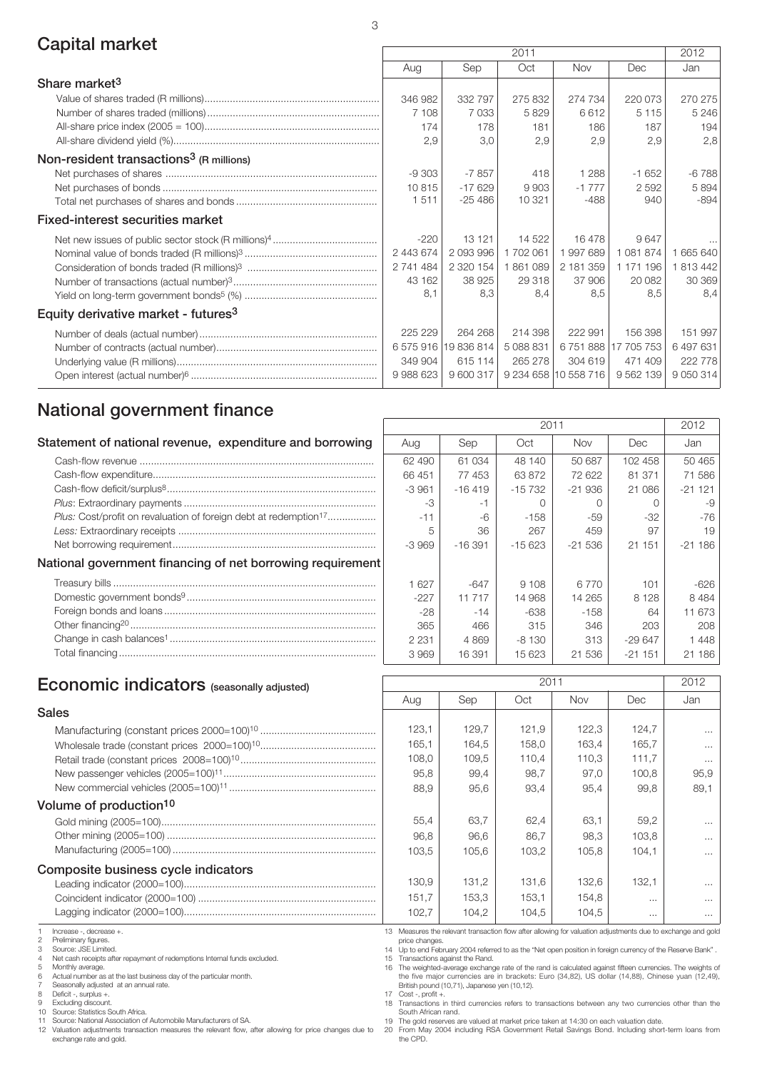## **Capital market** 2011 2012 2014

|                                                     | ZUII      |                      |           |                      | ZUIZ                 |               |
|-----------------------------------------------------|-----------|----------------------|-----------|----------------------|----------------------|---------------|
|                                                     | Aug       | Sep                  | Oct       | <b>Nov</b>           | Dec                  | Jan           |
| Share market <sup>3</sup>                           |           |                      |           |                      |                      |               |
|                                                     | 346 982   | 332 797              | 275 832   | 274 734              | 220 073              | 270 275       |
|                                                     | 7 108     | 7033                 | 5829      | 6612                 | 5 1 1 5              | 5 2 4 6       |
|                                                     | 174       | 178                  | 181       | 186                  | 187                  | 194           |
|                                                     | 2,9       | 3,0                  | 2,9       | 2,9                  | 2,9                  | 2,8           |
| Non-resident transactions <sup>3</sup> (R millions) |           |                      |           |                      |                      |               |
|                                                     | $-9303$   | $-7857$              | 418       | 1 2 8 8              | $-1652$              | $-6788$       |
|                                                     | 10815     | $-17629$             | 9903      | $-1777$              | 2592                 | 5 8 9 4       |
|                                                     | 1511      | $-25486$             | 10 321    | $-488$               | 940                  | $-894$        |
| <b>Fixed-interest securities market</b>             |           |                      |           |                      |                      |               |
|                                                     | $-220$    | 13 1 21              | 14 522    | 16478                | 9647                 | $\cdots$      |
|                                                     | 2 443 674 | 2 093 996            | 1702061   | 1997689              | 1 081 874            | 665 640       |
|                                                     | 2 741 484 | 2 320 154            | 1861089   | 2 181 359            | 1 171 196            | 813 442       |
|                                                     | 43 162    | 38 925               | 29 318    | 37 906               | 20 082               | 30 369        |
|                                                     | 8.1       | 8,3                  | 8.4       | 8,5                  | 8,5                  | 8.4           |
| Equity derivative market - futures <sup>3</sup>     |           |                      |           |                      |                      |               |
|                                                     | 225 229   | 264 268              | 214 398   | 222 991              | 156 398              | 151 997       |
|                                                     |           | 6 575 916 19 836 814 | 5 088 831 |                      | 6 751 888 17 705 753 | 6497631       |
|                                                     | 349 904   | 615 114              | 265 278   | 304 619              | 471 409              | 222 778       |
|                                                     | 9 988 623 | 9 600 317            |           | 9 234 658 10 558 716 | 9 562 139            | 9 0 5 0 3 1 4 |

 $\sqrt{ }$ 

## **National government finance**

| Statement of national revenue, expenditure and borrowing                                                                                                                                                                                                                                                                                                                                                 | Aug     | Sep      | Oct      | <b>Nov</b> | Dec.     | Jan             |
|----------------------------------------------------------------------------------------------------------------------------------------------------------------------------------------------------------------------------------------------------------------------------------------------------------------------------------------------------------------------------------------------------------|---------|----------|----------|------------|----------|-----------------|
|                                                                                                                                                                                                                                                                                                                                                                                                          | 62 490  | 61 034   | 48 140   | 50 687     | 102 458  | 50 <sub>4</sub> |
|                                                                                                                                                                                                                                                                                                                                                                                                          | 66 451  | 77453    | 63872    | 72 622     | 81 371   | 71 <sup>t</sup> |
| $\textbf{Cash-flow deficit/surplus} \textit{8} \textit{}{\textbf{}} \textit{}{\textbf{}} \textit{}{\textbf{}} \textit{}{\textbf{}} \textit{}{\textbf{}} \textit{}{\textbf{}} \textit{} \textit{} \textit{} \textit{} \textit{} \textit{} \textit{} \textit{} \textit{} \textit{} \textit{} \textit{} \textit{} \textit{} \textit{} \textit{} \textit{} \textit{} \textit{} \textit{} \textit{} \textit{$ | -3961   | $-16419$ | $-15732$ | $-21936$   | 21 086   | $-21 -$         |
|                                                                                                                                                                                                                                                                                                                                                                                                          | -3      | -1       |          |            |          |                 |
| Plus: Cost/profit on revaluation of foreign debt at redemption <sup>17</sup>                                                                                                                                                                                                                                                                                                                             | $-11$   | -6       | $-158$   | $-59$      | $-32$    |                 |
|                                                                                                                                                                                                                                                                                                                                                                                                          | 5       | 36       | 267      | 459        | 97       |                 |
|                                                                                                                                                                                                                                                                                                                                                                                                          | $-3969$ | $-16391$ | $-15623$ | $-21536$   | 21 151   | $-21 -$         |
| National government financing of net borrowing requirement                                                                                                                                                                                                                                                                                                                                               |         |          |          |            |          |                 |
|                                                                                                                                                                                                                                                                                                                                                                                                          | 627     | $-647$   | 9 1 0 8  | 6 7 7 0    | 101      | -6              |
|                                                                                                                                                                                                                                                                                                                                                                                                          | $-227$  | 11 717   | 14 968   | 14 265     | 8 1 2 8  | 84              |
|                                                                                                                                                                                                                                                                                                                                                                                                          | $-28$   | $-14$    | -638     | $-158$     | 64       | 116             |
|                                                                                                                                                                                                                                                                                                                                                                                                          | 365     | 466      | 315      | 346        | 203      |                 |
|                                                                                                                                                                                                                                                                                                                                                                                                          | 2 2 3 1 | 4869     | -8 130   | 313        | $-29647$ | 14              |
|                                                                                                                                                                                                                                                                                                                                                                                                          | 3969    | 16 391   | 15 623   | 21 536     | $-21151$ | $21 -$          |
|                                                                                                                                                                                                                                                                                                                                                                                                          |         |          |          |            |          |                 |

|         | 2012     |           |          |          |          |
|---------|----------|-----------|----------|----------|----------|
| Aug     | Sep      | Oct       | Nov      | Dec      | Jan      |
| 62 490  | 61 034   | 48 140    | 50 687   | 102 458  | 50 465   |
| 66 451  | 77 453   | 63872     | 72 622   | 81 371   | 71 586   |
| -3961   | $-16419$ | -15 732   | $-21936$ | 21 086   | $-21121$ |
| -3      | -1       | $\bigcap$ | Ω        | O        | -9       |
| $-11$   | -6       | $-158$    | -59      | -32      | $-76$    |
| 5       | 36       | 267       | 459      | 97       | 19       |
| $-3969$ | $-16391$ | -15 623   | $-21536$ | 21 151   | $-21186$ |
|         |          |           |          |          |          |
| 1627    | $-647$   | 9 1 0 8   | 6770     | 101      | $-626$   |
| $-227$  | 11 717   | 14 968    | 14 265   | 8 1 2 8  | 8484     |
| -28     | $-14$    | -638      | $-158$   | 64       | 11 673   |
| 365     | 466      | 315       | 346      | 203      | 208      |
| 2 2 3 1 | 4869     | $-8130$   | 313      | $-29647$ | 1448     |
| 3969    | 16 391   | 15 623    | 21 536   | $-21151$ | 21 186   |

 $\overline{\phantom{0}}$ 

### **Economic indicators** (seasonally adjusted) 2011 2012

#### **Sales**

#### **Volume of production10**

#### **Composite business cycle indicators**

1 Increase -, decrease +.<br>2 Preliminary figures

2 Preliminary figures. 3 Source: JSE Limited.

4 Net cash receipts after repayment of redemptions Internal funds excluded.<br>5 Monthly average. 5 Monthly average.<br>6 Actual number as

6 Actual number as at the last business day of the particular month. 7 Seasonally adjusted at an annual rate.

8 Deficit -, surplus +. 9 Excluding discount.

10 Source: Statistics South Africa. 11 Source: National Association of Automobile Manufacturers of SA.

12 Valuation adjustments transaction measures the relevant flow, after allowing for price changes due to exchange rate and gold.

| Aug   | Sep   | Oct   | Nov   | Dec   | Jan      |
|-------|-------|-------|-------|-------|----------|
|       |       |       |       |       |          |
| 123,1 | 129,7 | 121,9 | 122,3 | 124,7 | $\cdots$ |
| 165,1 | 164,5 | 158,0 | 163,4 | 165,7 | $\cdots$ |
| 108,0 | 109,5 | 110,4 | 110,3 | 111,7 | $\cdots$ |
| 95,8  | 99,4  | 98,7  | 97,0  | 100,8 | 95,9     |
| 88,9  | 95,6  | 93,4  | 95,4  | 99,8  | 89,1     |
|       |       |       |       |       |          |
| 55,4  | 63,7  | 62,4  | 63,1  | 59,2  | $\cdots$ |
| 96,8  | 96,6  | 86,7  | 98,3  | 103,8 | $\cdots$ |
| 103,5 | 105,6 | 103,2 | 105,8 | 104,1 | $\cdots$ |
|       |       |       |       |       |          |
| 130,9 | 131,2 | 131,6 | 132,6 | 132,1 | $\cdots$ |
| 151,7 | 153,3 | 153,1 | 154,8 | .     | .        |
| 102,7 | 104,2 | 104,5 | 104,5 | .     | $\cdots$ |

13 Measures the relevant transaction flow after allowing for valuation adjustments due to exchange and gold price changes.

14 Up to end February 2004 referred to as the "Net open position in foreign currency of the Reserve Bank" .

15 Transactions against the Rand. 16 The weighted-average exchange rate of the rand is calculated against fifteen currencies. The weights of the five major currencies are in brackets: Euro (34,82), US dollar (14,88), Chinese yuan (12,49),<br>British pound (10,71), Japanese yen (10,12).

17 Cost -, profit +. 18 Transactions in third currencies refers to transactions between any two currencies other than the

South African rand. 19 The gold reserves are valued at market price taken at 14:30 on each valuation date.

20 From May 2004 including RSA Government Retail Savings Bond. Including short-term loans from the CPD.